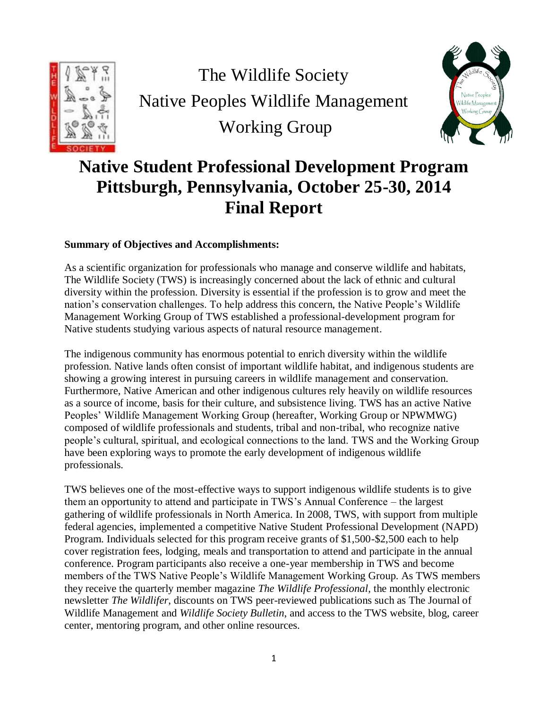

The Wildlife Society Native Peoples Wildlife Management Working Group



# **Native Student Professional Development Program Pittsburgh, Pennsylvania, October 25-30, 2014 Final Report**

# **Summary of Objectives and Accomplishments:**

As a scientific organization for professionals who manage and conserve wildlife and habitats, The Wildlife Society (TWS) is increasingly concerned about the lack of ethnic and cultural diversity within the profession. Diversity is essential if the profession is to grow and meet the nation's conservation challenges. To help address this concern, the Native People's Wildlife Management Working Group of TWS established a professional-development program for Native students studying various aspects of natural resource management.

The indigenous community has enormous potential to enrich diversity within the wildlife profession. Native lands often consist of important wildlife habitat, and indigenous students are showing a growing interest in pursuing careers in wildlife management and conservation. Furthermore, Native American and other indigenous cultures rely heavily on wildlife resources as a source of income, basis for their culture, and subsistence living. TWS has an active Native Peoples' Wildlife Management Working Group (hereafter, Working Group or NPWMWG) composed of wildlife professionals and students, tribal and non-tribal, who recognize native people's cultural, spiritual, and ecological connections to the land. TWS and the Working Group have been exploring ways to promote the early development of indigenous wildlife professionals.

TWS believes one of the most-effective ways to support indigenous wildlife students is to give them an opportunity to attend and participate in TWS's Annual Conference – the largest gathering of wildlife professionals in North America. In 2008, TWS, with support from multiple federal agencies, implemented a competitive Native Student Professional Development (NAPD) Program. Individuals selected for this program receive grants of \$1,500-\$2,500 each to help cover registration fees, lodging, meals and transportation to attend and participate in the annual conference. Program participants also receive a one-year membership in TWS and become members of the TWS Native People's Wildlife Management Working Group. As TWS members they receive the quarterly member magazine *The Wildlife Professional*, the monthly electronic newsletter *The Wildlifer*, discounts on TWS peer-reviewed publications such as The Journal of Wildlife Management and *Wildlife Society Bulletin*, and access to the TWS website, blog, career center, mentoring program, and other online resources.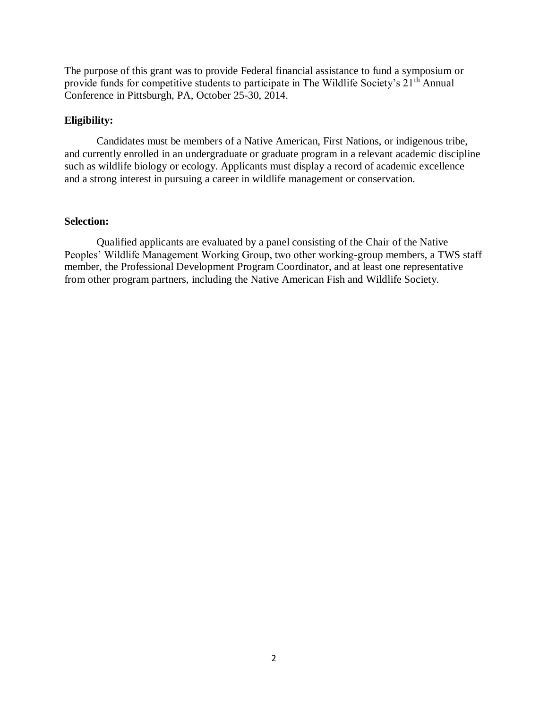The purpose of this grant was to provide Federal financial assistance to fund a symposium or provide funds for competitive students to participate in The Wildlife Society's 21<sup>th</sup> Annual Conference in Pittsburgh, PA, October 25-30, 2014.

### **Eligibility:**

Candidates must be members of a Native American, First Nations, or indigenous tribe, and currently enrolled in an undergraduate or graduate program in a relevant academic discipline such as wildlife biology or ecology. Applicants must display a record of academic excellence and a strong interest in pursuing a career in wildlife management or conservation.

#### **Selection:**

Qualified applicants are evaluated by a panel consisting of the Chair of the Native Peoples' Wildlife Management Working Group, two other working-group members, a TWS staff member, the Professional Development Program Coordinator, and at least one representative from other program partners, including the Native American Fish and Wildlife Society.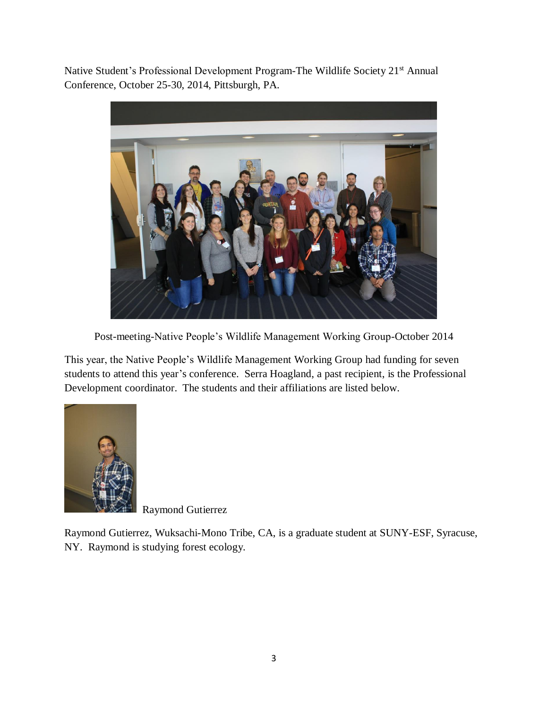Native Student's Professional Development Program-The Wildlife Society 21<sup>st</sup> Annual Conference, October 25-30, 2014, Pittsburgh, PA.



Post-meeting-Native People's Wildlife Management Working Group-October 2014

This year, the Native People's Wildlife Management Working Group had funding for seven students to attend this year's conference. Serra Hoagland, a past recipient, is the Professional Development coordinator. The students and their affiliations are listed below.



Raymond Gutierrez

Raymond Gutierrez, Wuksachi-Mono Tribe, CA, is a graduate student at SUNY-ESF, Syracuse, NY. Raymond is studying forest ecology.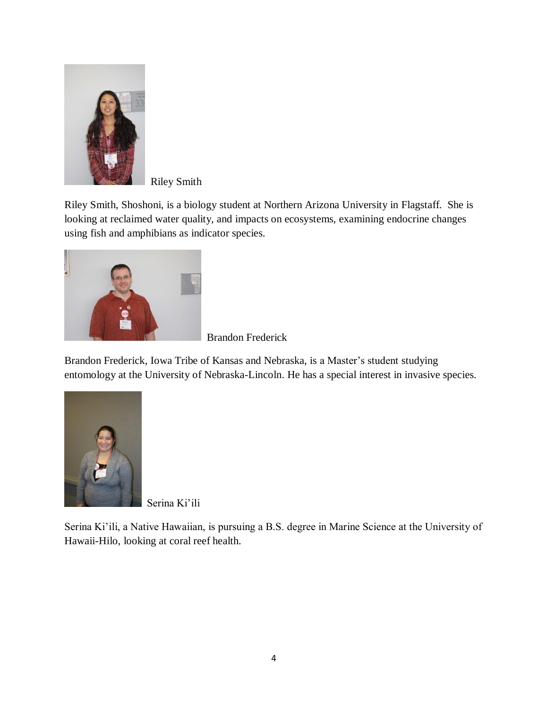

Riley Smith

Riley Smith, Shoshoni, is a biology student at Northern Arizona University in Flagstaff. She is looking at reclaimed water quality, and impacts on ecosystems, examining endocrine changes using fish and amphibians as indicator species.



Brandon Frederick

Brandon Frederick, Iowa Tribe of Kansas and Nebraska, is a Master's student studying entomology at the University of Nebraska-Lincoln. He has a special interest in invasive species.



Serina Ki'ili

Serina Ki'ili, a Native Hawaiian, is pursuing a B.S. degree in Marine Science at the University of Hawaii-Hilo, looking at coral reef health.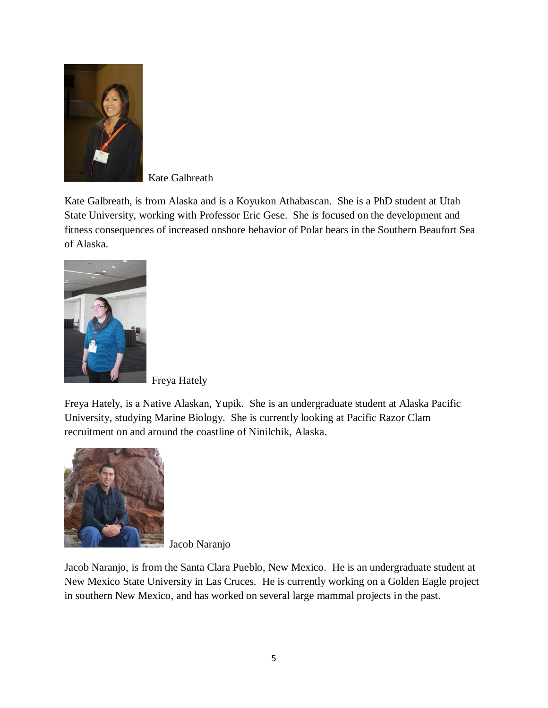

Kate Galbreath

Kate Galbreath, is from Alaska and is a Koyukon Athabascan. She is a PhD student at Utah State University, working with Professor Eric Gese. She is focused on the development and fitness consequences of increased onshore behavior of Polar bears in the Southern Beaufort Sea of Alaska.



Freya Hately

Freya Hately, is a Native Alaskan, Yupik. She is an undergraduate student at Alaska Pacific University, studying Marine Biology. She is currently looking at Pacific Razor Clam recruitment on and around the coastline of Ninilchik, Alaska.



Jacob Naranjo

Jacob Naranjo, is from the Santa Clara Pueblo, New Mexico. He is an undergraduate student at New Mexico State University in Las Cruces. He is currently working on a Golden Eagle project in southern New Mexico, and has worked on several large mammal projects in the past.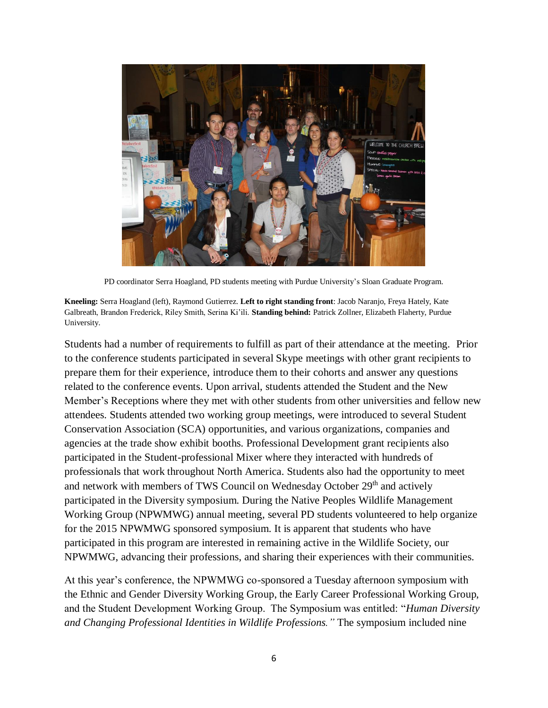

PD coordinator Serra Hoagland, PD students meeting with Purdue University's Sloan Graduate Program.

**Kneeling:** Serra Hoagland (left), Raymond Gutierrez. **Left to right standing front**: Jacob Naranjo, Freya Hately, Kate Galbreath, Brandon Frederick, Riley Smith, Serina Ki'ili. **Standing behind:** Patrick Zollner, Elizabeth Flaherty, Purdue University.

Students had a number of requirements to fulfill as part of their attendance at the meeting. Prior to the conference students participated in several Skype meetings with other grant recipients to prepare them for their experience, introduce them to their cohorts and answer any questions related to the conference events. Upon arrival, students attended the Student and the New Member's Receptions where they met with other students from other universities and fellow new attendees. Students attended two working group meetings, were introduced to several Student Conservation Association (SCA) opportunities, and various organizations, companies and agencies at the trade show exhibit booths. Professional Development grant recipients also participated in the Student-professional Mixer where they interacted with hundreds of professionals that work throughout North America. Students also had the opportunity to meet and network with members of TWS Council on Wednesday October 29<sup>th</sup> and actively participated in the Diversity symposium. During the Native Peoples Wildlife Management Working Group (NPWMWG) annual meeting, several PD students volunteered to help organize for the 2015 NPWMWG sponsored symposium. It is apparent that students who have participated in this program are interested in remaining active in the Wildlife Society, our NPWMWG, advancing their professions, and sharing their experiences with their communities.

At this year's conference, the NPWMWG co-sponsored a Tuesday afternoon symposium with the Ethnic and Gender Diversity Working Group, the Early Career Professional Working Group, and the Student Development Working Group. The Symposium was entitled: "*Human Diversity and Changing Professional Identities in Wildlife Professions."* The symposium included nine